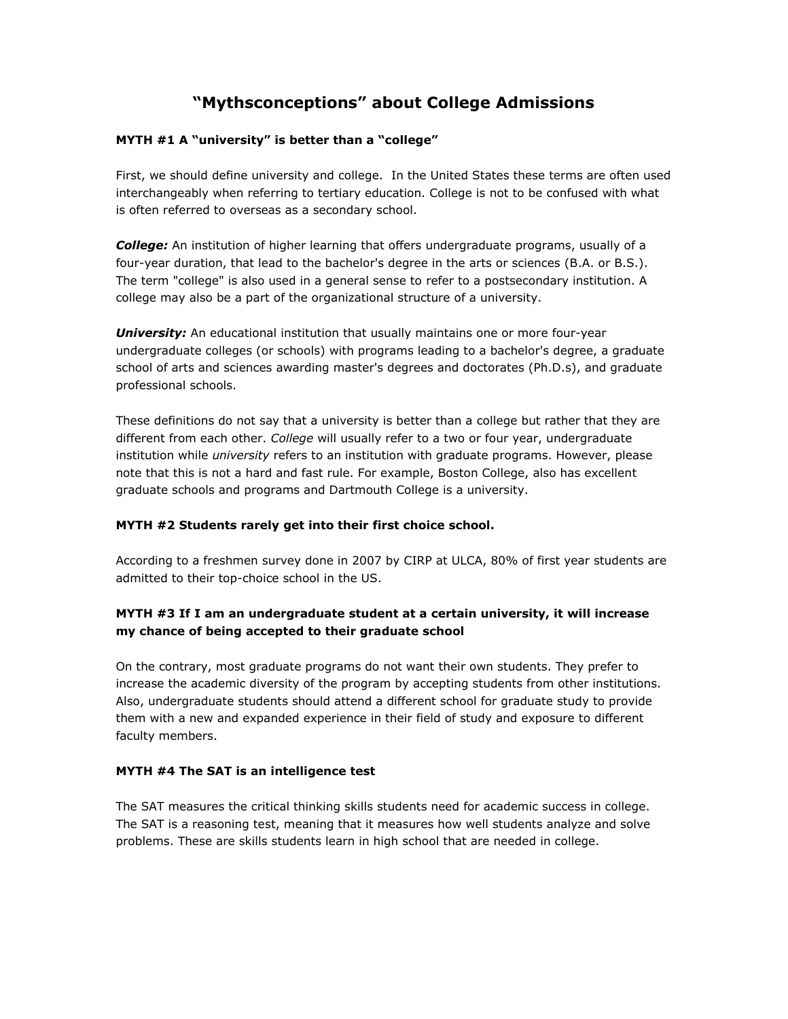# **"Mythsconceptions" about College Admissions**

## **MYTH #1 A "university" is better than a "college"**

First, we should define university and college. In the United States these terms are often used interchangeably when referring to tertiary education. College is not to be confused with what is often referred to overseas as a secondary school.

*College:* An institution of higher learning that offers undergraduate programs, usually of a four-year duration, that lead to the bachelor's degree in the arts or sciences (B.A. or B.S.). The term "college" is also used in a general sense to refer to a postsecondary institution. A college may also be a part of the organizational structure of a university.

*University:* An educational institution that usually maintains one or more four-year undergraduate colleges (or schools) with programs leading to a bachelor's degree, a graduate school of arts and sciences awarding master's degrees and doctorates (Ph.D.s), and graduate professional schools.

These definitions do not say that a university is better than a college but rather that they are different from each other. *College* will usually refer to a two or four year, undergraduate institution while *university* refers to an institution with graduate programs. However, please note that this is not a hard and fast rule. For example, Boston College, also has excellent graduate schools and programs and Dartmouth College is a university.

## **MYTH #2 Students rarely get into their first choice school.**

According to a freshmen survey done in 2007 by CIRP at ULCA, 80% of first year students are admitted to their top-choice school in the US.

# **MYTH #3 If I am an undergraduate student at a certain university, it will increase my chance of being accepted to their graduate school**

On the contrary, most graduate programs do not want their own students. They prefer to increase the academic diversity of the program by accepting students from other institutions. Also, undergraduate students should attend a different school for graduate study to provide them with a new and expanded experience in their field of study and exposure to different faculty members.

## **MYTH #4 The SAT is an intelligence test**

The SAT measures the critical thinking skills students need for academic success in college. The SAT is a reasoning test, meaning that it measures how well students analyze and solve problems. These are skills students learn in high school that are needed in college.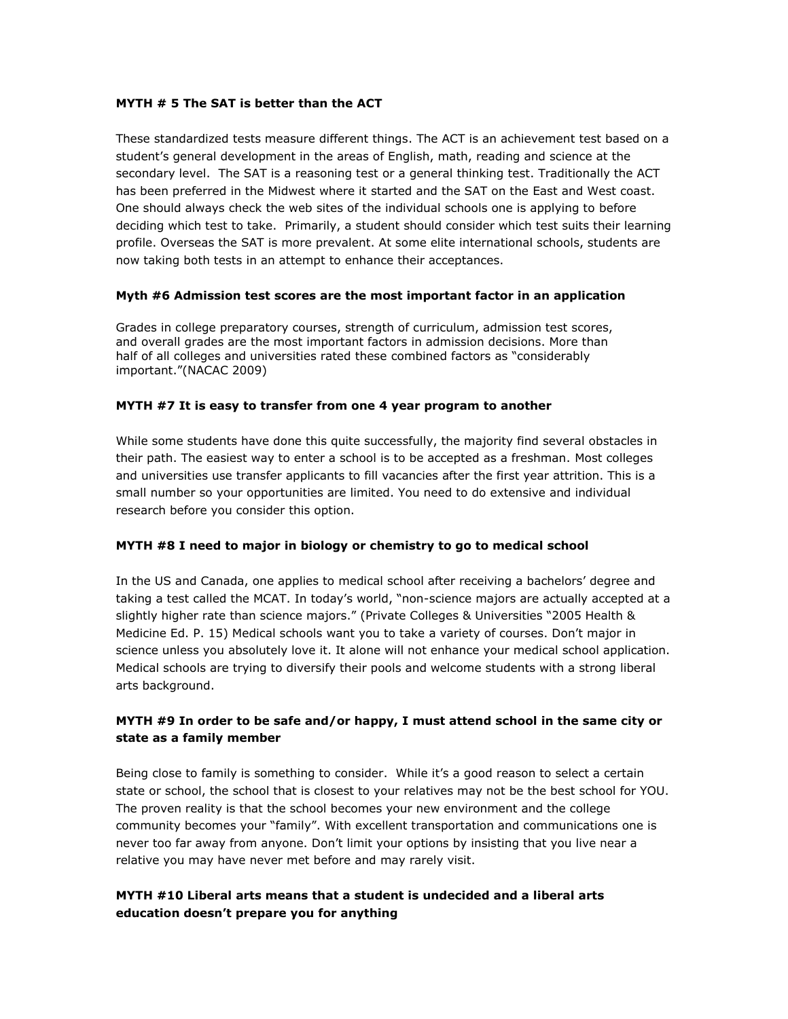#### **MYTH # 5 The SAT is better than the ACT**

These standardized tests measure different things. The ACT is an achievement test based on a student's general development in the areas of English, math, reading and science at the secondary level. The SAT is a reasoning test or a general thinking test. Traditionally the ACT has been preferred in the Midwest where it started and the SAT on the East and West coast. One should always check the web sites of the individual schools one is applying to before deciding which test to take. Primarily, a student should consider which test suits their learning profile. Overseas the SAT is more prevalent. At some elite international schools, students are now taking both tests in an attempt to enhance their acceptances.

#### **Myth #6 Admission test scores are the most important factor in an application**

Grades in college preparatory courses, strength of curriculum, admission test scores, and overall grades are the most important factors in admission decisions. More than half of all colleges and universities rated these combined factors as "considerably important."(NACAC 2009)

#### **MYTH #7 It is easy to transfer from one 4 year program to another**

While some students have done this quite successfully, the majority find several obstacles in their path. The easiest way to enter a school is to be accepted as a freshman. Most colleges and universities use transfer applicants to fill vacancies after the first year attrition. This is a small number so your opportunities are limited. You need to do extensive and individual research before you consider this option.

## **MYTH #8 I need to major in biology or chemistry to go to medical school**

In the US and Canada, one applies to medical school after receiving a bachelors' degree and taking a test called the MCAT. In today's world, "non-science majors are actually accepted at a slightly higher rate than science majors." (Private Colleges & Universities "2005 Health & Medicine Ed. P. 15) Medical schools want you to take a variety of courses. Don't major in science unless you absolutely love it. It alone will not enhance your medical school application. Medical schools are trying to diversify their pools and welcome students with a strong liberal arts background.

# **MYTH #9 In order to be safe and/or happy, I must attend school in the same city or state as a family member**

Being close to family is something to consider. While it's a good reason to select a certain state or school, the school that is closest to your relatives may not be the best school for YOU. The proven reality is that the school becomes your new environment and the college community becomes your "family". With excellent transportation and communications one is never too far away from anyone. Don't limit your options by insisting that you live near a relative you may have never met before and may rarely visit.

# **MYTH #10 Liberal arts means that a student is undecided and a liberal arts education doesn't prepare you for anything**